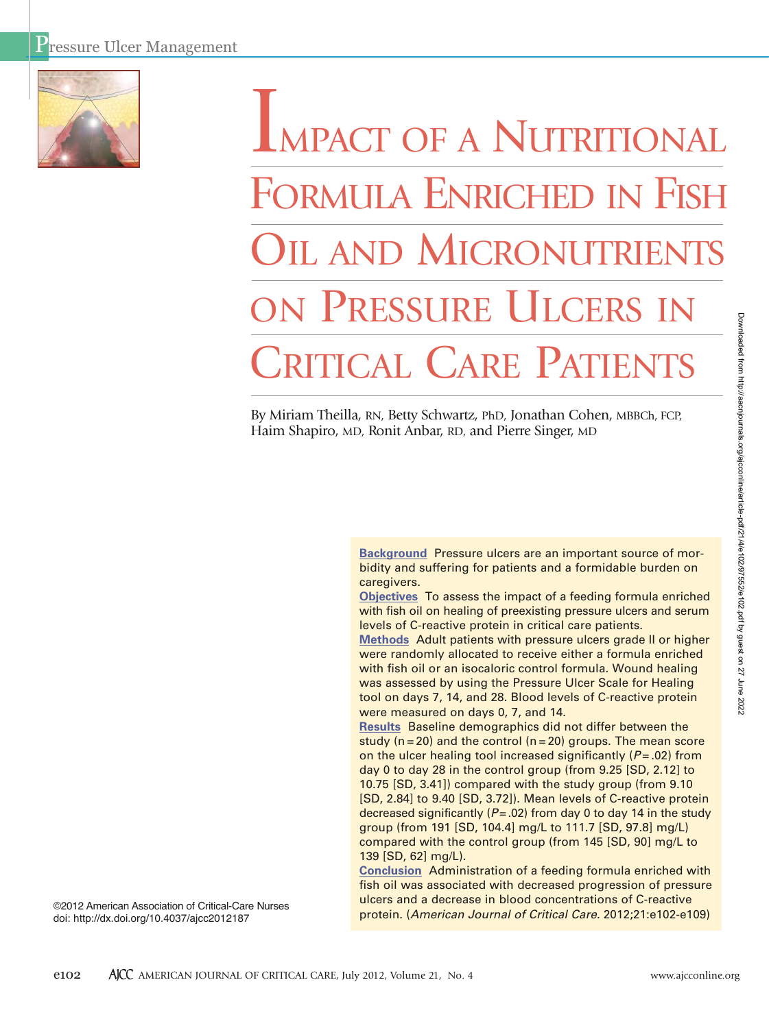

# IMPACT OF A NUTRITIONAL FORMULA ENRICHED IN FISH IL AND MICRONUTRIEN ON PRESSURE ULCERS IN RITICAL CARE PATIENT

By Miriam Theilla, RN, Betty Schwartz, PhD, Jonathan Cohen, MBBCh, FCP, Haim Shapiro, MD, Ronit Anbar, RD, and Pierre Singer, MD

> **Background** Pressure ulcers are an important source of morbidity and suffering for patients and a formidable burden on caregivers.

**Objectives** To assess the impact of a feeding formula enriched with fish oil on healing of preexisting pressure ulcers and serum levels of C-reactive protein in critical care patients.

**Methods** Adult patients with pressure ulcers grade II or higher were randomly allocated to receive either a formula enriched with fish oil or an isocaloric control formula. Wound healing was assessed by using the Pressure Ulcer Scale for Healing tool on days 7, 14, and 28. Blood levels of C-reactive protein were measured on days 0, 7, and 14.

**Results** Baseline demographics did not differ between the study ( $n = 20$ ) and the control ( $n = 20$ ) groups. The mean score on the ulcer healing tool increased significantly  $(P = .02)$  from day 0 to day 28 in the control group (from 9.25 [SD, 2.12] to 10.75 [SD, 3.41]) compared with the study group (from 9.10 [SD, 2.84] to 9.40 [SD, 3.72]). Mean levels of C-reactive protein decreased significantly (*P*= .02) from day 0 to day 14 in the study group (from 191 [SD, 104.4] mg/L to 111.7 [SD, 97.8] mg/L) compared with the control group (from 145 [SD, 90] mg/L to 139 [SD, 62] mg/L).

**Conclusion** Administration of a feeding formula enriched with fish oil was associated with decreased progression of pressure ulcers and a decrease in blood concentrations of C-reactive protein. (*American Journal of Critical Care.* 2012;21:e102-e109)

©2012 American Association of Critical-Care Nurses doi: http://dx.doi.org/10.4037/ajcc2012187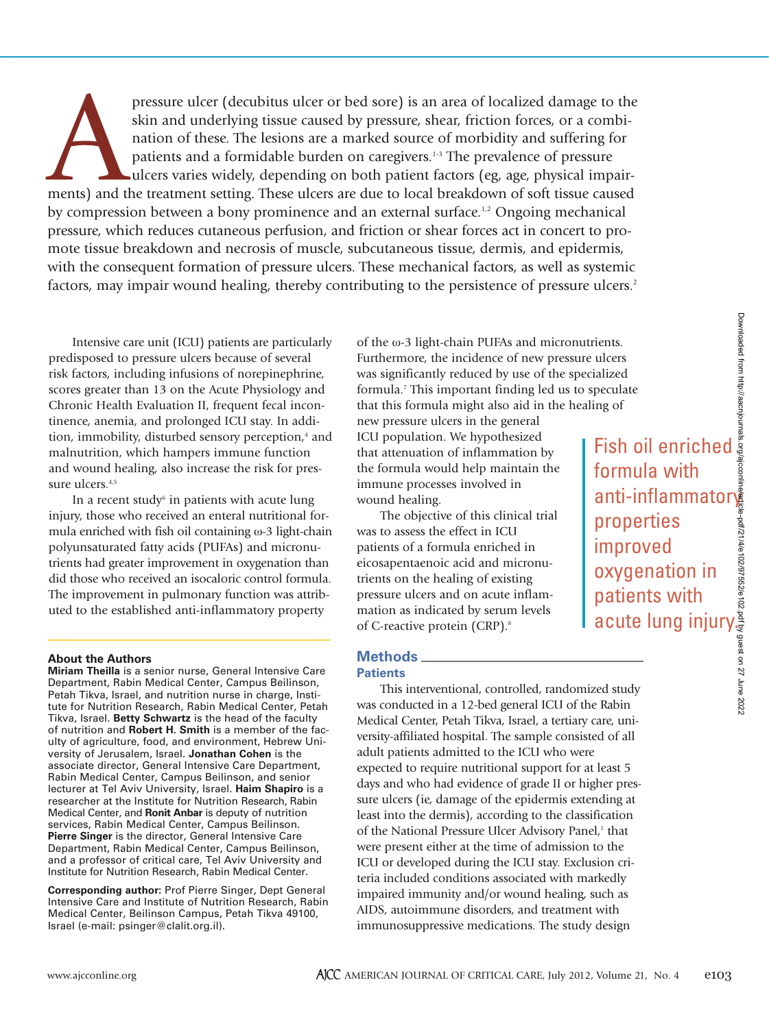pressure ulcer (decubitus ulcer or bed sore) is an area of localized damage to the skin and underlying tissue caused by pressure, shear, friction forces, or a combination of these. The lesions are a marked source of morbid skin and underlying tissue caused by pressure, shear, friction forces, or a combination of these. The lesions are a marked source of morbidity and suffering for patients and a formidable burden on caregivers.1-3 The prevalence of pressure ulcers varies widely, depending on both patient factors (eg, age, physical impairby compression between a bony prominence and an external surface.1,2 Ongoing mechanical pressure, which reduces cutaneous perfusion, and friction or shear forces act in concert to promote tissue breakdown and necrosis of muscle, subcutaneous tissue, dermis, and epidermis, with the consequent formation of pressure ulcers. These mechanical factors, as well as systemic factors, may impair wound healing, thereby contributing to the persistence of pressure ulcers.<sup>2</sup>

Intensive care unit (ICU) patients are particularly predisposed to pressure ulcers because of several risk factors, including infusions of norepinephrine, scores greater than 13 on the Acute Physiology and Chronic Health Evaluation II, frequent fecal incontinence, anemia, and prolonged ICU stay. In addition, immobility, disturbed sensory perception,<sup>4</sup> and malnutrition, which hampers immune function and wound healing, also increase the risk for pressure ulcers.<sup>4,5</sup>

In a recent study<sup>6</sup> in patients with acute lung injury, those who received an enteral nutritional formula enriched with fish oil containing ω-3 light-chain polyunsaturated fatty acids (PUFAs) and micronutrients had greater improvement in oxygenation than did those who received an isocaloric control formula. The improvement in pulmonary function was attributed to the established anti-inflammatory property

#### **About the Authors**

**Miriam Theilla** is a senior nurse, General Intensive Care Department, Rabin Medical Center, Campus Beilinson, Petah Tikva, Israel, and nutrition nurse in charge, Institute for Nutrition Research, Rabin Medical Center, Petah Tikva, Israel. **Betty Schwartz** is the head of the faculty of nutrition and **Robert H. Smith** is a member of the faculty of agriculture, food, and environment, Hebrew University of Jerusalem, Israel. **Jonathan Cohen** is the associate director, General Intensive Care Department, Rabin Medical Center, Campus Beilinson, and senior lecturer at Tel Aviv University, Israel. **Haim Shapiro** is a researcher at the Institute for Nutrition Research, Rabin Medical Center, and **Ronit Anbar** is deputy of nutrition services, Rabin Medical Center, Campus Beilinson. **Pierre Singer** is the director, General Intensive Care Department, Rabin Medical Center, Campus Beilinson, and a professor of critical care, Tel Aviv University and Institute for Nutrition Research, Rabin Medical Center.

**Corresponding author:** Prof Pierre Singer, Dept General Intensive Care and Institute of Nutrition Research, Rabin Medical Center, Beilinson Campus, Petah Tikva 49100, Israel (e-mail: psinger@clalit.org.il).

of the ω-3 light-chain PUFAs and micronutrients. Furthermore, the incidence of new pressure ulcers was significantly reduced by use of the specialized formula.7 This important finding led us to speculate that this formula might also aid in the healing of

new pressure ulcers in the general ICU population. We hypothesized that attenuation of inflammation by the formula would help maintain the immune processes involved in wound healing.

The objective of this clinical trial was to assess the effect in ICU patients of a formula enriched in eicosapentaenoic acid and micronutrients on the healing of existing pressure ulcers and on acute inflammation as indicated by serum levels of C-reactive protein (CRP).<sup>8</sup>

#### **Methods Patients**

This interventional, controlled, randomized study was conducted in a 12-bed general ICU of the Rabin Medical Center, Petah Tikva, Israel, a tertiary care, university-affiliated hospital. The sample consisted of all adult patients admitted to the ICU who were expected to require nutritional support for at least 5 days and who had evidence of grade II or higher pressure ulcers (ie, damage of the epidermis extending at least into the dermis), according to the classification of the National Pressure Ulcer Advisory Panel,<sup>1</sup> that were present either at the time of admission to the ICU or developed during the ICU stay. Exclusion criteria included conditions associated with markedly impaired immunity and/or wound healing, such as AIDS, autoimmune disorders, and treatment with immunosuppressive medications. The study design

formula with

properties improved

oxygenation in patients with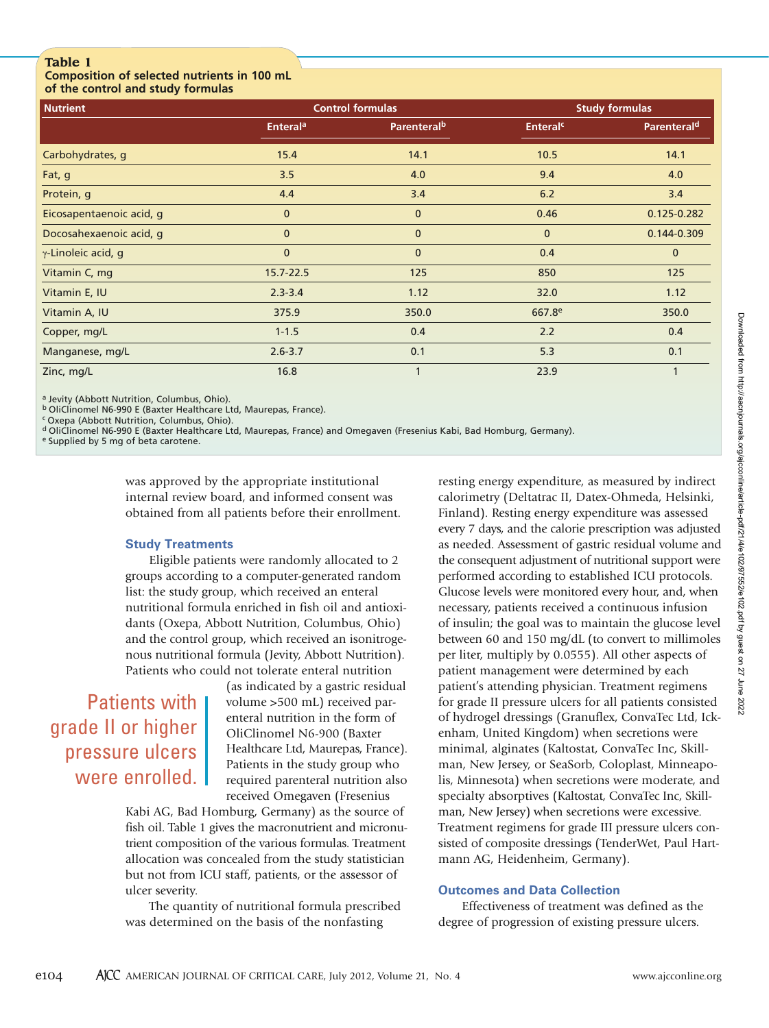#### **Table 1**

#### **Composition of selected nutrients in 100 mL of the control and study formulas**

| <b>Nutrient</b>            | <b>Control formulas</b> |                                | <b>Study formulas</b>       |                    |
|----------------------------|-------------------------|--------------------------------|-----------------------------|--------------------|
|                            | <b>Enterala</b>         | <b>Parenteral</b> <sup>b</sup> | <b>Enteral</b> <sup>c</sup> | <b>Parenterald</b> |
| Carbohydrates, q           | 15.4                    | 14.1                           | 10.5                        | 14.1               |
| Fat, g                     | 3.5                     | 4.0                            | 9.4                         | 4.0                |
| Protein, g                 | 4.4                     | 3.4                            | 6.2                         | 3.4                |
| Eicosapentaenoic acid, g   | $\mathbf{0}$            | $\mathbf{0}$                   | 0.46                        | 0.125-0.282        |
| Docosahexaenoic acid, g    | $\mathbf{0}$            | $\mathbf{0}$                   | $\mathbf{0}$                | 0.144-0.309        |
| $\gamma$ -Linoleic acid, g | $\mathbf{0}$            | $\mathbf{0}$                   | 0.4                         | $\mathbf{0}$       |
| Vitamin C, mg              | 15.7-22.5               | 125                            | 850                         | 125                |
| Vitamin E, IU              | $2.3 - 3.4$             | 1.12                           | 32.0                        | 1.12               |
| Vitamin A, IU              | 375.9                   | 350.0                          | 667.8 <sup>e</sup>          | 350.0              |
| Copper, mg/L               | $1 - 1.5$               | 0.4                            | 2.2                         | 0.4                |
| Manganese, mg/L            | $2.6 - 3.7$             | 0.1                            | 5.3                         | 0.1                |
| Zinc, mg/L                 | 16.8                    | $\mathbf{1}$                   | 23.9                        | 1                  |

a Jevity (Abbott Nutrition, Columbus, Ohio).

b OliClinomel N6-990 E (Baxter Healthcare Ltd, Maurepas, France).

c Oxepa (Abbott Nutrition, Columbus, Ohio). d OliClinomel N6-990 E (Baxter Healthcare Ltd, Maurepas, France) and Omegaven (Fresenius Kabi, Bad Homburg, Germany).

e Supplied by 5 mg of beta carotene.

was approved by the appropriate institutional internal review board, and informed consent was obtained from all patients before their enrollment.

# **Study Treatments**

Eligible patients were randomly allocated to 2 groups according to a computer-generated random list: the study group, which received an enteral nutritional formula enriched in fish oil and antioxidants (Oxepa, Abbott Nutrition, Columbus, Ohio) and the control group, which received an isonitrogenous nutritional formula (Jevity, Abbott Nutrition). Patients who could not tolerate enteral nutrition

# Patients with grade II or higher pressure ulcers were enrolled.

(as indicated by a gastric residual volume >500 mL) received parenteral nutrition in the form of OliClinomel N6-900 (Baxter Healthcare Ltd, Maurepas, France). Patients in the study group who required parenteral nutrition also received Omegaven (Fresenius

Kabi AG, Bad Homburg, Germany) as the source of fish oil. Table 1 gives the macronutrient and micronutrient composition of the various formulas. Treatment allocation was concealed from the study statistician but not from ICU staff, patients, or the assessor of ulcer severity.

The quantity of nutritional formula prescribed was determined on the basis of the nonfasting

resting energy expenditure, as measured by indirect calorimetry (Deltatrac II, Datex-Ohmeda, Helsinki, Finland). Resting energy expenditure was assessed every 7 days, and the calorie prescription was adjusted as needed. Assessment of gastric residual volume and the consequent adjustment of nutritional support were performed according to established ICU protocols. Glucose levels were monitored every hour, and, when necessary, patients received a continuous infusion of insulin; the goal was to maintain the glucose level between 60 and 150 mg/dL (to convert to millimoles per liter, multiply by 0.0555). All other aspects of patient management were determined by each patient's attending physician. Treatment regimens for grade II pressure ulcers for all patients consisted of hydrogel dressings (Granuflex, ConvaTec Ltd, Ickenham, United Kingdom) when secretions were minimal, alginates (Kaltostat, ConvaTec Inc, Skillman, New Jersey, or SeaSorb, Coloplast, Minneapolis, Minnesota) when secretions were moderate, and specialty absorptives (Kaltostat, ConvaTec Inc, Skillman, New Jersey) when secretions were excessive. Treatment regimens for grade III pressure ulcers consisted of composite dressings (TenderWet, Paul Hartmann AG, Heidenheim, Germany).

### **Outcomes and Data Collection**

Effectiveness of treatment was defined as the degree of progression of existing pressure ulcers.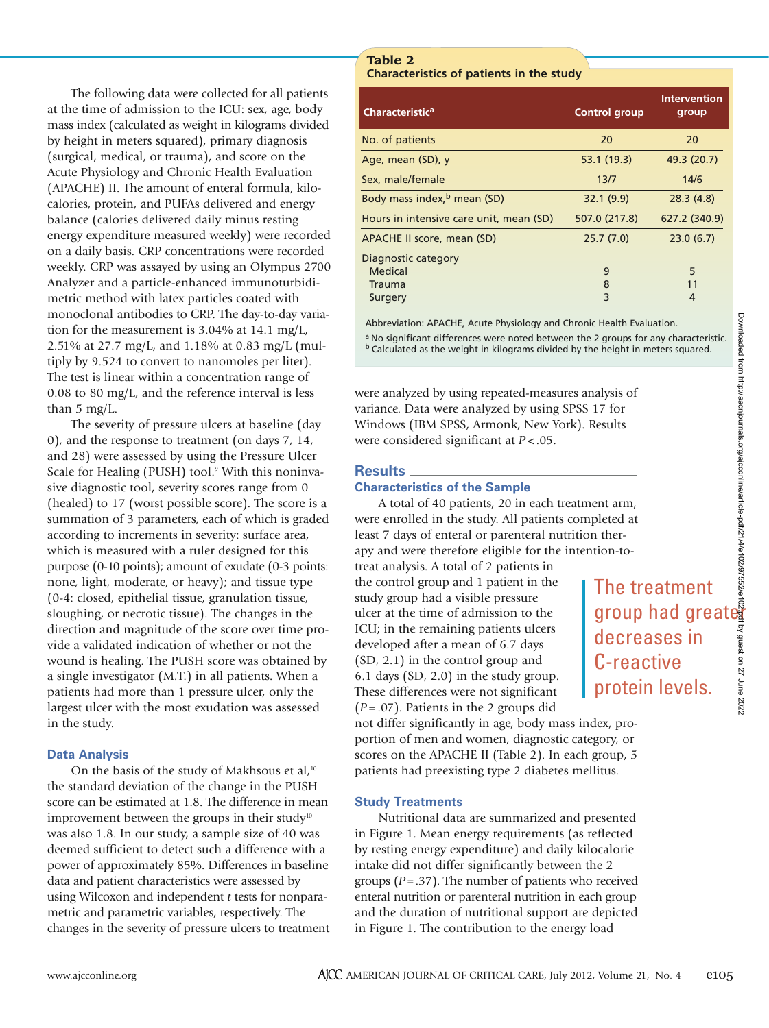The following data were collected for all patients at the time of admission to the ICU: sex, age, body mass index (calculated as weight in kilograms divided by height in meters squared), primary diagnosis (surgical, medical, or trauma), and score on the Acute Physiology and Chronic Health Evaluation (APACHE) II. The amount of enteral formula, kilocalories, protein, and PUFAs delivered and energy balance (calories delivered daily minus resting energy expenditure measured weekly) were recorded on a daily basis. CRP concentrations were recorded weekly. CRP was assayed by using an Olympus 2700 Analyzer and a particle-enhanced immunoturbidimetric method with latex particles coated with monoclonal antibodies to CRP. The day-to-day variation for the measurement is 3.04% at 14.1 mg/L, 2.51% at 27.7 mg/L, and 1.18% at 0.83 mg/L (multiply by 9.524 to convert to nanomoles per liter). The test is linear within a concentration range of 0.08 to 80 mg/L, and the reference interval is less than 5 mg/L.

The severity of pressure ulcers at baseline (day 0), and the response to treatment (on days 7, 14, and 28) were assessed by using the Pressure Ulcer Scale for Healing (PUSH) tool.<sup>9</sup> With this noninvasive diagnostic tool, severity scores range from 0 (healed) to 17 (worst possible score). The score is a summation of 3 parameters, each of which is graded according to increments in severity: surface area, which is measured with a ruler designed for this purpose (0-10 points); amount of exudate (0-3 points: none, light, moderate, or heavy); and tissue type (0-4: closed, epithelial tissue, granulation tissue, sloughing, or necrotic tissue). The changes in the direction and magnitude of the score over time provide a validated indication of whether or not the wound is healing. The PUSH score was obtained by a single investigator (M.T.) in all patients. When a patients had more than 1 pressure ulcer, only the largest ulcer with the most exudation was assessed in the study.

#### **Data Analysis**

On the basis of the study of Makhsous et al,<sup>10</sup> the standard deviation of the change in the PUSH score can be estimated at 1.8. The difference in mean improvement between the groups in their study<sup>10</sup> was also 1.8. In our study, a sample size of 40 was deemed sufficient to detect such a difference with a power of approximately 85%. Differences in baseline data and patient characteristics were assessed by using Wilcoxon and independent *t* tests for nonparametric and parametric variables, respectively. The changes in the severity of pressure ulcers to treatment

## **Table 2**

#### **Characteristics of patients in the study**

| <b>Characteristic<sup>a</sup></b>       | Control group | <b>Intervention</b><br>group |
|-----------------------------------------|---------------|------------------------------|
| No. of patients                         | 20            | 20                           |
| Age, mean (SD), y                       | 53.1 (19.3)   | 49.3 (20.7)                  |
| Sex, male/female                        | 13/7          | 14/6                         |
| Body mass index, <sup>b</sup> mean (SD) | 32.1(9.9)     | 28.3(4.8)                    |
| Hours in intensive care unit, mean (SD) | 507.0 (217.8) | 627.2 (340.9)                |
| APACHE II score, mean (SD)              | 25.7(7.0)     | 23.0(6.7)                    |
| Diagnostic category                     |               |                              |
| Medical                                 | 9             | 5                            |
| Trauma                                  | 8             | 11                           |
| Surgery                                 | 3             | 4                            |

Abbreviation: APACHE, Acute Physiology and Chronic Health Evaluation.

<sup>a</sup> No significant differences were noted between the 2 groups for any characteristic. b Calculated as the weight in kilograms divided by the height in meters squared.

were analyzed by using repeated-measures analysis of variance. Data were analyzed by using SPSS 17 for Windows (IBM SPSS, Armonk, New York). Results were considered significant at *P* < .05.

### **Results**

#### **Characteristics of the Sample**

A total of 40 patients, 20 in each treatment arm, were enrolled in the study. All patients completed at least 7 days of enteral or parenteral nutrition therapy and were therefore eligible for the intention-to-

treat analysis. A total of 2 patients in the control group and 1 patient in the study group had a visible pressure ulcer at the time of admission to the ICU; in the remaining patients ulcers developed after a mean of 6.7 days (SD, 2.1) in the control group and 6.1 days (SD, 2.0) in the study group. These differences were not significant (*P* = .07). Patients in the 2 groups did

The treatment group had greater decreases in C-reactive protein levels.

not differ significantly in age, body mass index, proportion of men and women, diagnostic category, or scores on the APACHE II (Table 2). In each group, 5 patients had preexisting type 2 diabetes mellitus.

#### **Study Treatments**

Nutritional data are summarized and presented in Figure 1. Mean energy requirements (as reflected by resting energy expenditure) and daily kilocalorie intake did not differ significantly between the 2 groups (*P*=.37). The number of patients who received enteral nutrition or parenteral nutrition in each group and the duration of nutritional support are depicted in Figure 1. The contribution to the energy load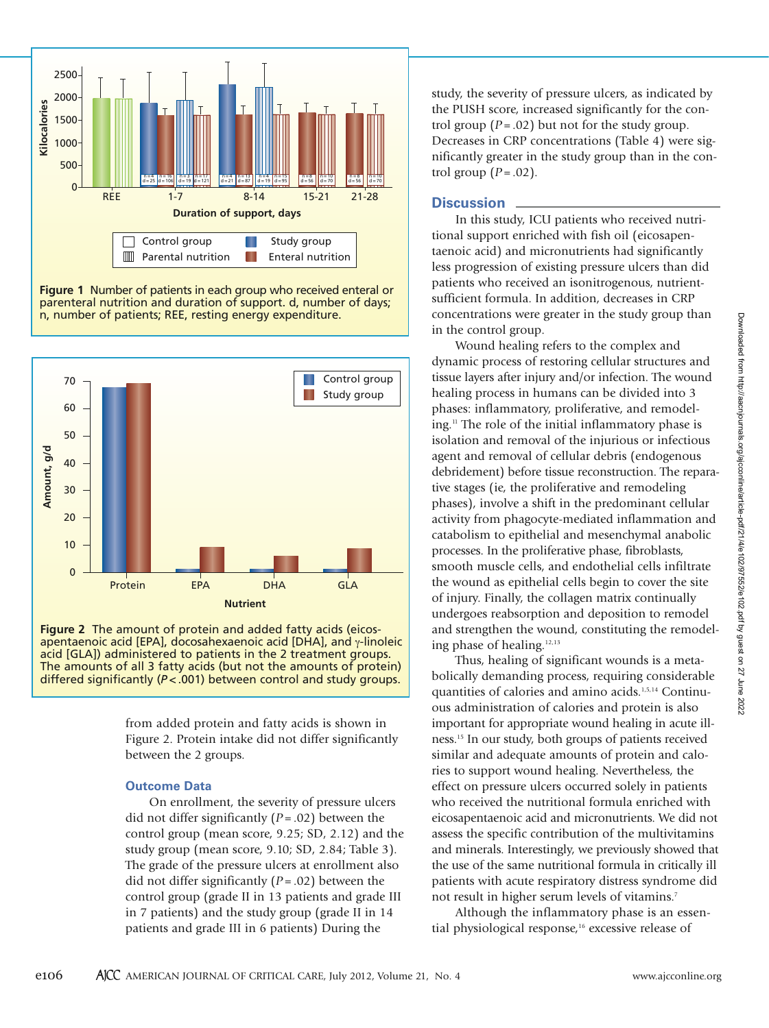





**Figure 2** The amount of protein and added fatty acids (eicosapentaenoic acid [EPA], docosahexaenoic acid [DHA], and γ-linoleic acid [GLA]) administered to patients in the 2 treatment groups. The amounts of all 3 fatty acids (but not the amounts of protein) differed significantly  $(P < .001)$  between control and study groups.

from added protein and fatty acids is shown in Figure 2. Protein intake did not differ significantly between the 2 groups.

#### **Outcome Data**

On enrollment, the severity of pressure ulcers did not differ significantly  $(P = .02)$  between the control group (mean score, 9.25; SD, 2.12) and the study group (mean score, 9.10; SD, 2.84; Table 3). The grade of the pressure ulcers at enrollment also did not differ significantly  $(P = .02)$  between the control group (grade II in 13 patients and grade III in 7 patients) and the study group (grade II in 14 patients and grade III in 6 patients) During the

study, the severity of pressure ulcers, as indicated by the PUSH score, increased significantly for the control group  $(P = .02)$  but not for the study group. Decreases in CRP concentrations (Table 4) were significantly greater in the study group than in the control group  $(P=.02)$ .

#### **Discussion**

In this study, ICU patients who received nutritional support enriched with fish oil (eicosapentaenoic acid) and micronutrients had significantly less progression of existing pressure ulcers than did patients who received an isonitrogenous, nutrientsufficient formula. In addition, decreases in CRP concentrations were greater in the study group than in the control group.

Wound healing refers to the complex and dynamic process of restoring cellular structures and tissue layers after injury and/or infection. The wound healing process in humans can be divided into 3 phases: inflammatory, proliferative, and remodeling.11 The role of the initial inflammatory phase is isolation and removal of the injurious or infectious agent and removal of cellular debris (endogenous debridement) before tissue reconstruction. The reparative stages (ie, the proliferative and remodeling phases), involve a shift in the predominant cellular activity from phagocyte-mediated inflammation and catabolism to epithelial and mesenchymal anabolic processes. In the proliferative phase, fibroblasts, smooth muscle cells, and endothelial cells infiltrate the wound as epithelial cells begin to cover the site of injury. Finally, the collagen matrix continually undergoes reabsorption and deposition to remodel and strengthen the wound, constituting the remodeling phase of healing.12,13

Thus, healing of significant wounds is a metabolically demanding process, requiring considerable quantities of calories and amino acids.1,5,14 Continuous administration of calories and protein is also important for appropriate wound healing in acute illness.15 In our study, both groups of patients received similar and adequate amounts of protein and calories to support wound healing. Nevertheless, the effect on pressure ulcers occurred solely in patients who received the nutritional formula enriched with eicosapentaenoic acid and micronutrients. We did not assess the specific contribution of the multivitamins and minerals. Interestingly, we previously showed that the use of the same nutritional formula in critically ill patients with acute respiratory distress syndrome did not result in higher serum levels of vitamins.7

Although the inflammatory phase is an essential physiological response,<sup>16</sup> excessive release of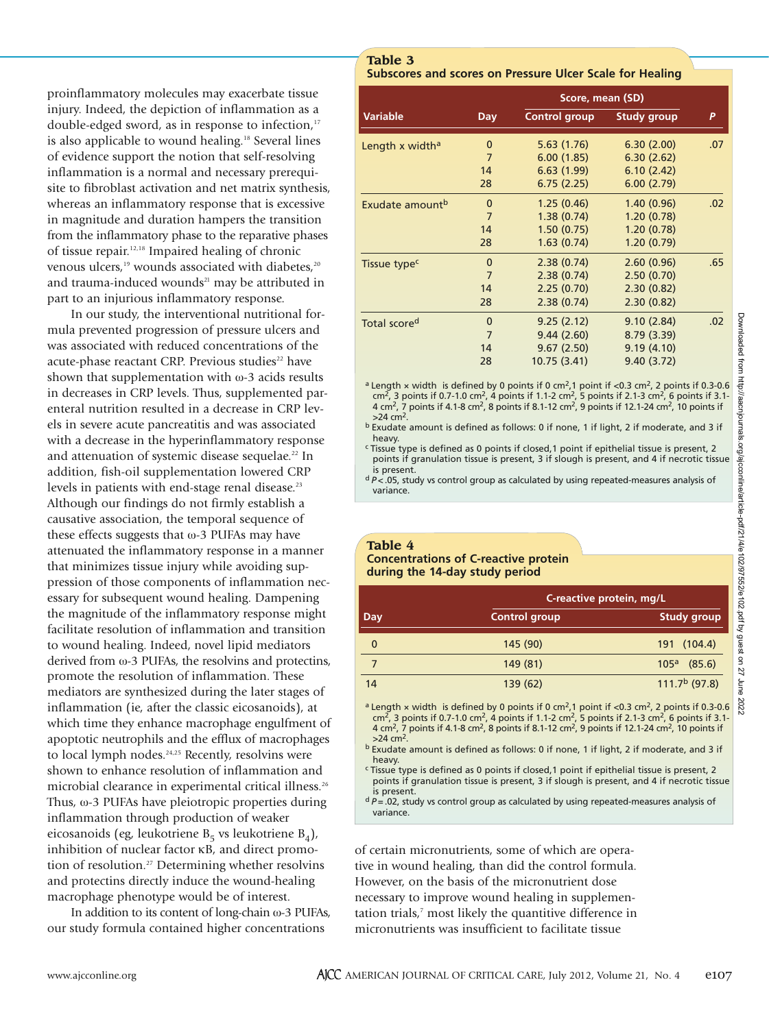proinflammatory molecules may exacerbate tissue injury. Indeed, the depiction of inflammation as a double-edged sword, as in response to infection,<sup>17</sup> is also applicable to wound healing.<sup>18</sup> Several lines of evidence support the notion that self-resolving inflammation is a normal and necessary prerequisite to fibroblast activation and net matrix synthesis, whereas an inflammatory response that is excessive in magnitude and duration hampers the transition from the inflammatory phase to the reparative phases of tissue repair.12,18 Impaired healing of chronic venous ulcers,<sup>19</sup> wounds associated with diabetes,<sup>20</sup> and trauma-induced wounds<sup>21</sup> may be attributed in part to an injurious inflammatory response.

In our study, the interventional nutritional formula prevented progression of pressure ulcers and was associated with reduced concentrations of the acute-phase reactant CRP. Previous studies<sup>22</sup> have shown that supplementation with ω-3 acids results in decreases in CRP levels. Thus, supplemented parenteral nutrition resulted in a decrease in CRP levels in severe acute pancreatitis and was associated with a decrease in the hyperinflammatory response and attenuation of systemic disease sequelae.<sup>22</sup> In addition, fish-oil supplementation lowered CRP levels in patients with end-stage renal disease.<sup>23</sup> Although our findings do not firmly establish a causative association, the temporal sequence of these effects suggests that  $\omega$ -3 PUFAs may have attenuated the inflammatory response in a manner that minimizes tissue injury while avoiding suppression of those components of inflammation necessary for subsequent wound healing. Dampening the magnitude of the inflammatory response might facilitate resolution of inflammation and transition to wound healing. Indeed, novel lipid mediators derived from ω-3 PUFAs, the resolvins and protectins, promote the resolution of inflammation. These mediators are synthesized during the later stages of inflammation (ie, after the classic eicosanoids), at which time they enhance macrophage engulfment of apoptotic neutrophils and the efflux of macrophages to local lymph nodes.<sup>24,25</sup> Recently, resolvins were shown to enhance resolution of inflammation and microbial clearance in experimental critical illness.<sup>26</sup> Thus, ω-3 PUFAs have pleiotropic properties during inflammation through production of weaker eicosanoids (eg, leukotriene  $B_5$  vs leukotriene  $B_4$ ), inhibition of nuclear factor κB, and direct promotion of resolution.<sup>27</sup> Determining whether resolvins and protectins directly induce the wound-healing macrophage phenotype would be of interest.

In addition to its content of long-chain ω-3 PUFAs, our study formula contained higher concentrations

**Table 3** 

**Subscores and scores on Pressure Ulcer Scale for Healing**

|                             |                | Score, mean (SD)     |                    |     |
|-----------------------------|----------------|----------------------|--------------------|-----|
| <b>Variable</b>             | Day            | <b>Control group</b> | <b>Study group</b> | P   |
| Length x width <sup>a</sup> | 0              | 5.63(1.76)           | 6.30(2.00)         | .07 |
|                             | $\overline{7}$ | 6.00(1.85)           | 6.30(2.62)         |     |
|                             | 14             | 6.63(1.99)           | 6.10(2.42)         |     |
|                             | 28             | 6.75(2.25)           | 6.00(2.79)         |     |
| Exudate amount <sup>b</sup> | $\mathbf{0}$   | 1.25(0.46)           | 1.40(0.96)         | .02 |
|                             | $\overline{7}$ | 1.38(0.74)           | 1.20(0.78)         |     |
|                             | 14             | 1.50(0.75)           | 1.20(0.78)         |     |
|                             | 28             | 1.63(0.74)           | 1.20(0.79)         |     |
| Tissue type <sup>c</sup>    | $\mathbf{0}$   | 2.38(0.74)           | 2.60(0.96)         | .65 |
|                             | $\overline{7}$ | 2.38(0.74)           | 2.50(0.70)         |     |
|                             | 14             | 2.25(0.70)           | 2.30(0.82)         |     |
|                             | 28             | 2.38(0.74)           | 2.30(0.82)         |     |
| Total score <sup>d</sup>    | $\mathbf{0}$   | 9.25(2.12)           | 9.10(2.84)         | .02 |
|                             | $\overline{7}$ | 9.44(2.60)           | 8.79 (3.39)        |     |
|                             | 14             | 9.67(2.50)           | 9.19(4.10)         |     |
|                             | 28             | 10.75 (3.41)         | 9.40(3.72)         |     |

<sup>a</sup> Length x width is defined by 0 points if 0 cm<sup>2</sup>,1 point if <0.3 cm<sup>2</sup>, 2 points if 0.3-0.6 cm<sup>2</sup>, 3 points if 0.7-1.0 cm<sup>2</sup>, 4 points if 1.1-2 cm<sup>2</sup>, 5 points if 2.1-3 cm<sup>2</sup>, 6 points if 3.1-4 cm<sup>2</sup>, 7 points if 4.1-8 cm<sup>2</sup>, 8 points if 8.1-12 cm<sup>2</sup>, 9 points if 12.1-24 cm<sup>2</sup>, 10 points if  $>24$  cm<sup>2</sup>.

b Exudate amount is defined as follows: 0 if none, 1 if light, 2 if moderate, and 3 if heavy.

c Tissue type is defined as 0 points if closed,1 point if epithelial tissue is present, 2 points if granulation tissue is present, 3 if slough is present, and 4 if necrotic tissue is present.

<sup>d</sup>*P*< .05, study vs control group as calculated by using repeated-measures analysis of variance.

#### **Table 4**

#### **Concentrations of C-reactive protein during the 14-day study period**

|          |               | C-reactive protein, mg/L |  |  |
|----------|---------------|--------------------------|--|--|
| Day      | Control group | <b>Study group</b>       |  |  |
| $\bf{0}$ | 145 (90)      | 191 (104.4)              |  |  |
|          | 149 (81)      | $105^a$ (85.6)           |  |  |
| 14       | 139 (62)      | $111.7b$ (97.8)          |  |  |

<sup>a</sup> Length x width is defined by 0 points if 0 cm<sup>2</sup>,1 point if <0.3 cm<sup>2</sup>, 2 points if 0.3-0.6 cm<sup>2</sup>, 3 points if 0.7-1.0 cm<sup>2</sup>, 4 points if 1.1-2 cm<sup>2</sup>, 5 points if 2.1-3 cm<sup>2</sup>, 6 points if 3.1-4 cm<sup>2</sup>, 7 points if 4.1-8 cm<sup>2</sup>, 8 points if 8.1-12 cm<sup>2</sup>, 9 points if 12.1-24 cm<sup>2</sup>, 10 points if  $>24$  cm<sup>2</sup>.

b Exudate amount is defined as follows: 0 if none, 1 if light, 2 if moderate, and 3 if heavy.

<sup>c</sup> Tissue type is defined as 0 points if closed, 1 point if epithelial tissue is present, 2 points if granulation tissue is present, 3 if slough is present, and 4 if necrotic tissue is present.

<sup>d</sup>*P*= .02, study vs control group as calculated by using repeated-measures analysis of variance.

of certain micronutrients, some of which are operative in wound healing, than did the control formula. However, on the basis of the micronutrient dose necessary to improve wound healing in supplementation trials, $\bar{z}$  most likely the quantitive difference in micronutrients was insufficient to facilitate tissue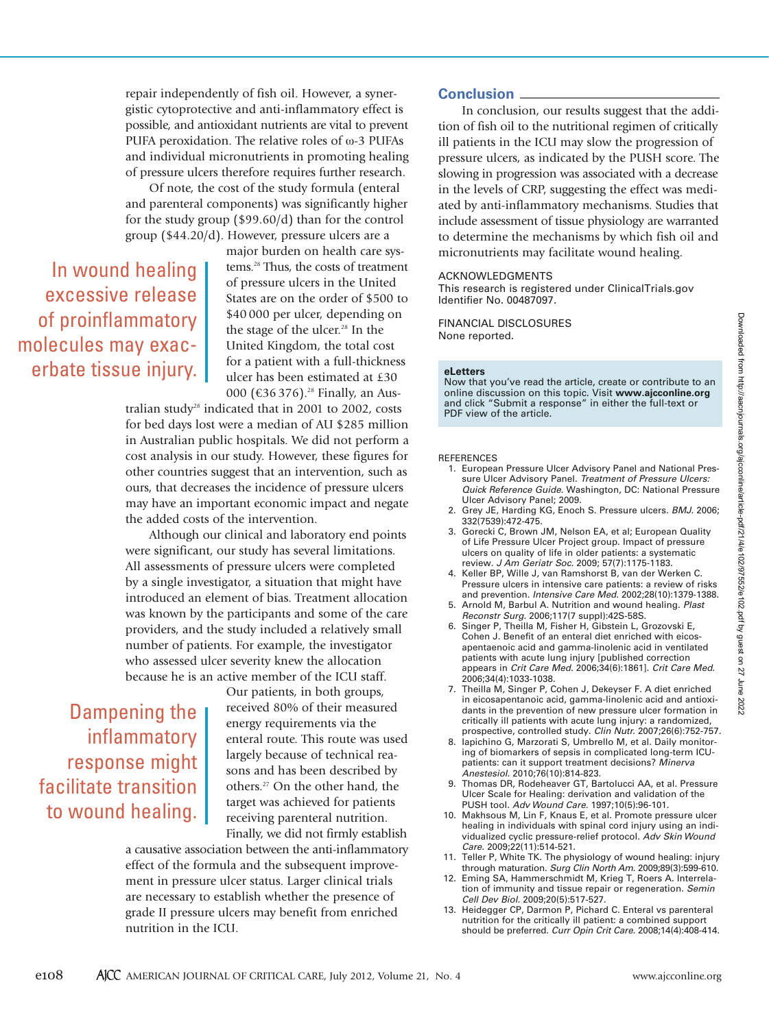repair independently of fish oil. However, a synergistic cytoprotective and anti-inflammatory effect is possible, and antioxidant nutrients are vital to prevent PUFA peroxidation. The relative roles of ω-3 PUFAs and individual micronutrients in promoting healing of pressure ulcers therefore requires further research.

Of note, the cost of the study formula (enteral and parenteral components) was significantly higher for the study group (\$99.60/d) than for the control group (\$44.20/d). However, pressure ulcers are a

In wound healing excessive release of proinflammatory molecules may exacerbate tissue injury. major burden on health care systems.28 Thus, the costs of treatment of pressure ulcers in the United States are on the order of \$500 to \$40 000 per ulcer, depending on the stage of the ulcer.<sup>28</sup> In the United Kingdom, the total cost for a patient with a full-thickness ulcer has been estimated at £30 000 (€36 376).<sup>28</sup> Finally, an Aus-

tralian study<sup>28</sup> indicated that in 2001 to 2002, costs for bed days lost were a median of AU \$285 million in Australian public hospitals. We did not perform a cost analysis in our study. However, these figures for other countries suggest that an intervention, such as ours, that decreases the incidence of pressure ulcers may have an important economic impact and negate the added costs of the intervention.

Although our clinical and laboratory end points were significant, our study has several limitations. All assessments of pressure ulcers were completed by a single investigator, a situation that might have introduced an element of bias. Treatment allocation was known by the participants and some of the care providers, and the study included a relatively small number of patients. For example, the investigator who assessed ulcer severity knew the allocation because he is an active member of the ICU staff.

Dampening the inflammatory response might facilitate transition to wound healing. Our patients, in both groups, received 80% of their measured energy requirements via the enteral route. This route was used largely because of technical reasons and has been described by others.27 On the other hand, the target was achieved for patients receiving parenteral nutrition. Finally, we did not firmly establish

a causative association between the anti-inflammatory effect of the formula and the subsequent improvement in pressure ulcer status. Larger clinical trials are necessary to establish whether the presence of grade II pressure ulcers may benefit from enriched nutrition in the ICU.

### **Conclusion**

In conclusion, our results suggest that the addition of fish oil to the nutritional regimen of critically ill patients in the ICU may slow the progression of pressure ulcers, as indicated by the PUSH score. The slowing in progression was associated with a decrease in the levels of CRP, suggesting the effect was mediated by anti-inflammatory mechanisms. Studies that include assessment of tissue physiology are warranted to determine the mechanisms by which fish oil and micronutrients may facilitate wound healing.

#### ACKNOWLEDGMENTS

This research is registered under ClinicalTrials.gov Identifier No. 00487097.

FINANCIAL DISCLOSURES None reported.

#### **eLetters**

Now that you've read the article, create or contribute to an online discussion on this topic. Visit **www.ajcconline.org** and click "Submit a response" in either the full-text or PDF view of the article.

#### REFERENCES

- 1. European Pressure Ulcer Advisory Panel and National Pressure Ulcer Advisory Panel. *Treatment of Pressure Ulcers: Quick Reference Guide.* Washington, DC: National Pressure Ulcer Advisory Panel; 2009.
- 2. Grey JE, Harding KG, Enoch S. Pressure ulcers. *BMJ.* 2006; 332(7539):472-475.
- 3. Gorecki C, Brown JM, Nelson EA, et al; European Quality of Life Pressure Ulcer Project group. Impact of pressure ulcers on quality of life in older patients: a systematic review. *J Am Geriatr Soc.* 2009; 57(7):1175-1183.
- 4. Keller BP, Wille J, van Ramshorst B, van der Werken C. Pressure ulcers in intensive care patients: a review of risks and prevention. *Intensive Care Med.* 2002;28(10):1379-1388.
- 5. Arnold M, Barbul A. Nutrition and wound healing. *Plast Reconstr Surg.* 2006;117(7 suppl):42S-58S.
- 6. Singer P, Theilla M, Fisher H, Gibstein L, Grozovski E, Cohen J. Benefit of an enteral diet enriched with eicosapentaenoic acid and gamma-linolenic acid in ventilated patients with acute lung injury [published correction appears in *Crit Care Med.* 2006;34(6):1861]. *Crit Care Med.* 2006;34(4):1033-1038.
- 7. Theilla M, Singer P, Cohen J, Dekeyser F. A diet enriched in eicosapentanoic acid, gamma-linolenic acid and antioxidants in the prevention of new pressure ulcer formation in critically ill patients with acute lung injury: a randomized, prospective, controlled study. *Clin Nutr.* 2007;26(6):752-757.
- 8. Iapichino G, Marzorati S, Umbrello M, et al. Daily monitoring of biomarkers of sepsis in complicated long-term ICUpatients: can it support treatment decisions? *Minerva Anestesiol.* 2010;76(10):814-823.
- 9. Thomas DR, Rodeheaver GT, Bartolucci AA, et al. Pressure Ulcer Scale for Healing: derivation and validation of the PUSH tool. *Adv Wound Care.* 1997;10(5):96-101.
- 10. Makhsous M, Lin F, Knaus E, et al. Promote pressure ulcer healing in individuals with spinal cord injury using an individualized cyclic pressure-relief protocol. *Adv Skin Wound Care.* 2009;22(11):514-521.
- 11. Teller P, White TK. The physiology of wound healing: injury through maturation. *Surg Clin North Am.* 2009;89(3):599-610.
- 12. Eming SA, Hammerschmidt M, Krieg T, Roers A. Interrelation of immunity and tissue repair or regeneration. *Semin Cell Dev Biol.* 2009;20(5):517-527.
- 13. Heidegger CP, Darmon P, Pichard C. Enteral vs parenteral nutrition for the critically ill patient: a combined support should be preferred. *Curr Opin Crit Care.* 2008;14(4):408-414.